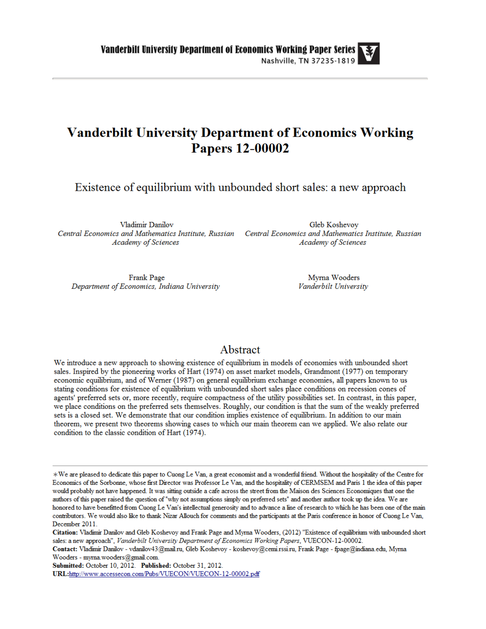## **Vanderbilt University Department of Economics Working Papers 12-00002**

Existence of equilibrium with unbounded short sales: a new approach

Vladimir Danilov Central Economics and Mathematics Institute, Russian Central Economics and Mathematics Institute, Russian **Academy of Sciences** 

**Academy of Sciences** 

Gleb Koshevov

Frank Page Department of Economics, Indiana University

Myrna Wooders Vanderbilt University

#### Abstract

We introduce a new approach to showing existence of equilibrium in models of economies with unbounded short sales. Inspired by the pioneering works of Hart (1974) on asset market models, Grandmont (1977) on temporary economic equilibrium, and of Werner (1987) on general equilibrium exchange economies, all papers known to us stating conditions for existence of equilibrium with unbounded short sales place conditions on recession cones of agents' preferred sets or, more recently, require compactness of the utility possibilities set. In contrast, in this paper, we place conditions on the preferred sets themselves. Roughly, our condition is that the sum of the weakly preferred sets is a closed set. We demonstrate that our condition implies existence of equilibrium. In addition to our main theorem, we present two theorems showing cases to which our main theorem can we applied. We also relate our condition to the classic condition of Hart (1974).

Submitted: October 10, 2012. Published: October 31, 2012. URL:http://www.accessecon.com/Pubs/VUECON/VUECON-12-00002.pdf

<sup>\*</sup>We are pleased to dedicate this paper to Cuong Le Van, a great economist and a wonderful friend. Without the hospitality of the Centre for Economics of the Sorbonne, whose first Director was Professor Le Van, and the hospitality of CERMSEM and Paris 1 the idea of this paper would probably not have happened. It was sitting outside a cafe across the street from the Maison des Sciences Economiques that one the authors of this paper raised the question of "why not assumptions simply on preferred sets" and another author took up the idea. We are honored to have benefitted from Cuong Le Van's intellectual generosity and to advance a line of research to which he has been one of the main contributors. We would also like to thank Nizar Allouch for comments and the participants at the Paris conference in honor of Cuong Le Van, December 2011.

Citation: Vladimir Danilov and Gleb Koshevoy and Frank Page and Myrna Wooders, (2012) "Existence of equilibrium with unbounded short sales: a new approach", Vanderbilt University Department of Economics Working Papers, VUECON-12-00002.

Contact: Vladimir Danilov - vdanilov43@mail.ru, Gleb Koshevoy - koshevoy@cemi.rssi.ru, Frank Page - fpage@indiana.edu, Myrna Wooders - myrna.wooders@gmail.com.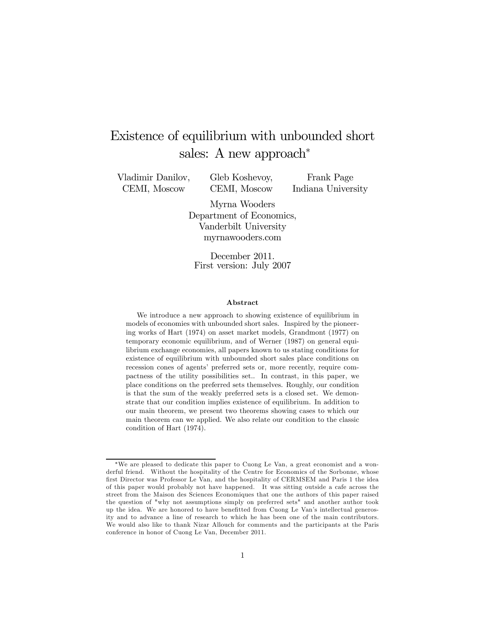# Existence of equilibrium with unbounded short sales: A new approach<sup>∗</sup>

Vladimir Danilov, CEMI, Moscow

Gleb Koshevoy, CEMI, Moscow

Frank Page Indiana University

Myrna Wooders Department of Economics, Vanderbilt University myrnawooders.com

December 2011. First version: July 2007

#### Abstract

We introduce a new approach to showing existence of equilibrium in models of economies with unbounded short sales. Inspired by the pioneering works of Hart (1974) on asset market models, Grandmont (1977) on temporary economic equilibrium, and of Werner (1987) on general equilibrium exchange economies, all papers known to us stating conditions for existence of equilibrium with unbounded short sales place conditions on recession cones of agents' preferred sets or, more recently, require compactness of the utility possibilities set.. In contrast, in this paper, we place conditions on the preferred sets themselves. Roughly, our condition is that the sum of the weakly preferred sets is a closed set. We demonstrate that our condition implies existence of equilibrium. In addition to our main theorem, we present two theorems showing cases to which our main theorem can we applied. We also relate our condition to the classic condition of Hart (1974).

<sup>∗</sup>We are pleased to dedicate this paper to Cuong Le Van, a great economist and a wonderful friend. Without the hospitality of the Centre for Economics of the Sorbonne, whose first Director was Professor Le Van, and the hospitality of CERMSEM and Paris 1 the idea of this paper would probably not have happened. It was sitting outside a cafe across the street from the Maison des Sciences Economiques that one the authors of this paper raised the question of "why not assumptions simply on preferred sets" and another author took up the idea. We are honored to have benefitted from Cuong Le Van's intellectual generosity and to advance a line of research to which he has been one of the main contributors. We would also like to thank Nizar Allouch for comments and the participants at the Paris conference in honor of Cuong Le Van, December 2011.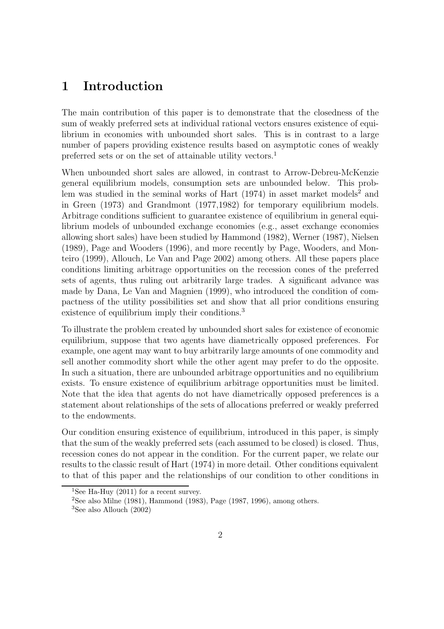## 1 Introduction

The main contribution of this paper is to demonstrate that the closedness of the sum of weakly preferred sets at individual rational vectors ensures existence of equilibrium in economies with unbounded short sales. This is in contrast to a large number of papers providing existence results based on asymptotic cones of weakly preferred sets or on the set of attainable utility vectors.<sup>1</sup>

When unbounded short sales are allowed, in contrast to Arrow-Debreu-McKenzie general equilibrium models, consumption sets are unbounded below. This problem was studied in the seminal works of Hart  $(1974)$  in asset market models<sup>2</sup> and in Green (1973) and Grandmont (1977,1982) for temporary equilibrium models. Arbitrage conditions sufficient to guarantee existence of equilibrium in general equilibrium models of unbounded exchange economies (e.g., asset exchange economies allowing short sales) have been studied by Hammond (1982), Werner (1987), Nielsen (1989), Page and Wooders (1996), and more recently by Page, Wooders, and Monteiro (1999), Allouch, Le Van and Page 2002) among others. All these papers place conditions limiting arbitrage opportunities on the recession cones of the preferred sets of agents, thus ruling out arbitrarily large trades. A significant advance was made by Dana, Le Van and Magnien (1999), who introduced the condition of compactness of the utility possibilities set and show that all prior conditions ensuring existence of equilibrium imply their conditions.<sup>3</sup>

To illustrate the problem created by unbounded short sales for existence of economic equilibrium, suppose that two agents have diametrically opposed preferences. For example, one agent may want to buy arbitrarily large amounts of one commodity and sell another commodity short while the other agent may prefer to do the opposite. In such a situation, there are unbounded arbitrage opportunities and no equilibrium exists. To ensure existence of equilibrium arbitrage opportunities must be limited. Note that the idea that agents do not have diametrically opposed preferences is a statement about relationships of the sets of allocations preferred or weakly preferred to the endowments.

Our condition ensuring existence of equilibrium, introduced in this paper, is simply that the sum of the weakly preferred sets (each assumed to be closed) is closed. Thus, recession cones do not appear in the condition. For the current paper, we relate our results to the classic result of Hart (1974) in more detail. Other conditions equivalent to that of this paper and the relationships of our condition to other conditions in

<sup>&</sup>lt;sup>1</sup>See Ha-Huy (2011) for a recent survey.

<sup>&</sup>lt;sup>2</sup>See also Milne (1981), Hammond (1983), Page (1987, 1996), among others.

 ${}^{3}$ See also Allouch (2002)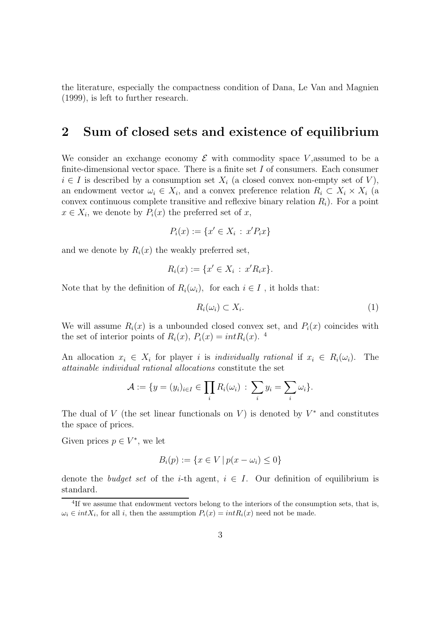the literature, especially the compactness condition of Dana, Le Van and Magnien (1999), is left to further research.

#### 2 Sum of closed sets and existence of equilibrium

We consider an exchange economy  $\mathcal E$  with commodity space V, assumed to be a finite-dimensional vector space. There is a finite set  $I$  of consumers. Each consumer  $i \in I$  is described by a consumption set  $X_i$  (a closed convex non-empty set of V), an endowment vector  $\omega_i \in X_i$ , and a convex preference relation  $R_i \subset X_i \times X_i$  (a convex continuous complete transitive and reflexive binary relation  $R_i$ ). For a point  $x \in X_i$ , we denote by  $P_i(x)$  the preferred set of x,

$$
P_i(x) := \{x' \in X_i \,:\, x'P_ix\}
$$

and we denote by  $R_i(x)$  the weakly preferred set,

$$
R_i(x) := \{ x' \in X_i \, : \, x'R_i x \}.
$$

Note that by the definition of  $R_i(\omega_i)$ , for each  $i \in I$ , it holds that:

$$
R_i(\omega_i) \subset X_i. \tag{1}
$$

We will assume  $R_i(x)$  is a unbounded closed convex set, and  $P_i(x)$  coincides with the set of interior points of  $R_i(x)$ ,  $P_i(x) = intR_i(x)$ . <sup>4</sup>

An allocation  $x_i \in X_i$  for player i is individually rational if  $x_i \in R_i(\omega_i)$ . The attainable individual rational allocations constitute the set

$$
\mathcal{A} := \{y = (y_i)_{i \in I} \in \prod_i R_i(\omega_i) \,:\, \sum_i y_i = \sum_i \omega_i\}.
$$

The dual of V (the set linear functionals on V) is denoted by  $V^*$  and constitutes the space of prices.

Given prices  $p \in V^*$ , we let

$$
B_i(p) := \{ x \in V \, | \, p(x - \omega_i) \le 0 \}
$$

denote the *budget set* of the *i*-th agent,  $i \in I$ . Our definition of equilibrium is standard.

<sup>&</sup>lt;sup>4</sup>If we assume that endowment vectors belong to the interiors of the consumption sets, that is,  $\omega_i \in intX_i$ , for all i, then the assumption  $P_i(x) = intR_i(x)$  need not be made.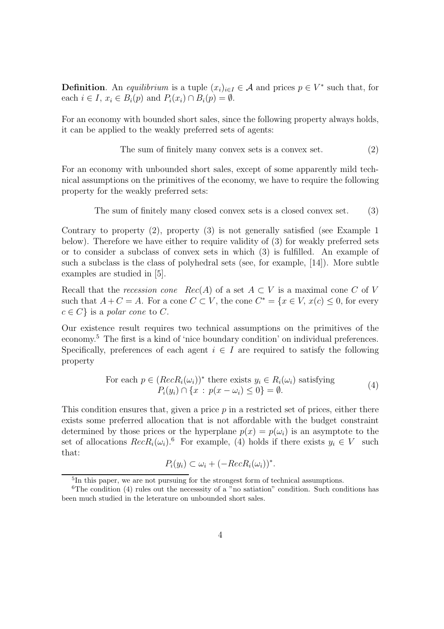**Definition**. An *equilibrium* is a tuple  $(x_i)_{i \in I} \in \mathcal{A}$  and prices  $p \in V^*$  such that, for each  $i \in I$ ,  $x_i \in B_i(p)$  and  $P_i(x_i) \cap B_i(p) = \emptyset$ .

For an economy with bounded short sales, since the following property always holds, it can be applied to the weakly preferred sets of agents:

The sum of finitely many convex sets is a convex set. 
$$
(2)
$$

For an economy with unbounded short sales, except of some apparently mild technical assumptions on the primitives of the economy, we have to require the following property for the weakly preferred sets:

The sum of finitely many closed convex sets is a closed convex set. (3)

Contrary to property (2), property (3) is not generally satisfied (see Example 1 below). Therefore we have either to require validity of (3) for weakly preferred sets or to consider a subclass of convex sets in which (3) is fulfilled. An example of such a subclass is the class of polyhedral sets (see, for example, [14]). More subtle examples are studied in [5].

Recall that the recession cone  $Rec(A)$  of a set  $A \subset V$  is a maximal cone C of V such that  $A + C = A$ . For a cone  $C \subset V$ , the cone  $C^* = \{x \in V, x(c) \leq 0, \text{ for every }$  $c \in C$  is a polar cone to C.

Our existence result requires two technical assumptions on the primitives of the economy.<sup>5</sup> The first is a kind of 'nice boundary condition' on individual preferences. Specifically, preferences of each agent  $i \in I$  are required to satisfy the following property

For each 
$$
p \in (RecR_i(\omega_i))^*
$$
 there exists  $y_i \in R_i(\omega_i)$  satisfying  
\n
$$
P_i(y_i) \cap \{x : p(x - \omega_i) \le 0\} = \emptyset.
$$
\n(4)

This condition ensures that, given a price  $p$  in a restricted set of prices, either there exists some preferred allocation that is not affordable with the budget constraint determined by those prices or the hyperplane  $p(x) = p(\omega_i)$  is an asymptote to the set of allocations  $RecR_i(\omega_i)$ .<sup>6</sup> For example, (4) holds if there exists  $y_i \in V$  such that:

$$
P_i(y_i) \subset \omega_i + (-RecR_i(\omega_i))^*.
$$

<sup>5</sup> In this paper, we are not pursuing for the strongest form of technical assumptions.

 ${}^{6}$ The condition (4) rules out the necessity of a "no satiation" condition. Such conditions has been much studied in the leterature on unbounded short sales.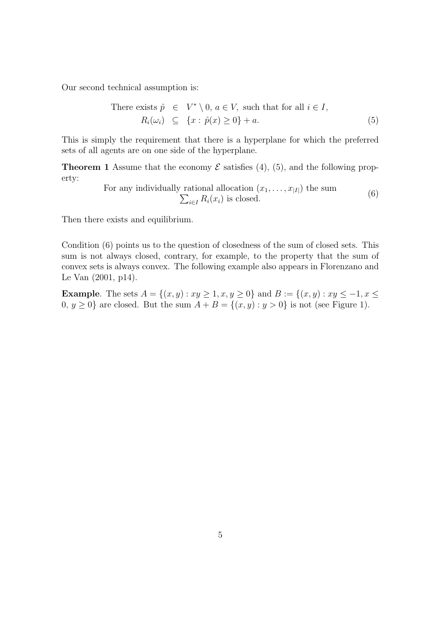Our second technical assumption is:

There exists 
$$
\hat{p} \in V^* \setminus 0, a \in V
$$
, such that for all  $i \in I$ ,  
\n $R_i(\omega_i) \subseteq \{x : \hat{p}(x) \ge 0\} + a.$  (5)

This is simply the requirement that there is a hyperplane for which the preferred sets of all agents are on one side of the hyperplane.

**Theorem 1** Assume that the economy  $\mathcal{E}$  satisfies (4), (5), and the following property:

> For any individually rational allocation  $(x_1, \ldots, x_{|I|})$  the sum  $\sum_{i\in I} R_i(x_i)$  is closed. (6)

Then there exists and equilibrium.

Condition (6) points us to the question of closedness of the sum of closed sets. This sum is not always closed, contrary, for example, to the property that the sum of convex sets is always convex. The following example also appears in Florenzano and Le Van (2001, p14).

**Example.** The sets  $A = \{(x, y) : xy \ge 1, x, y \ge 0\}$  and  $B := \{(x, y) : xy \le -1, x \le 0\}$  $0, y \ge 0$ } are closed. But the sum  $A + B = \{(x, y) : y > 0\}$  is not (see Figure 1).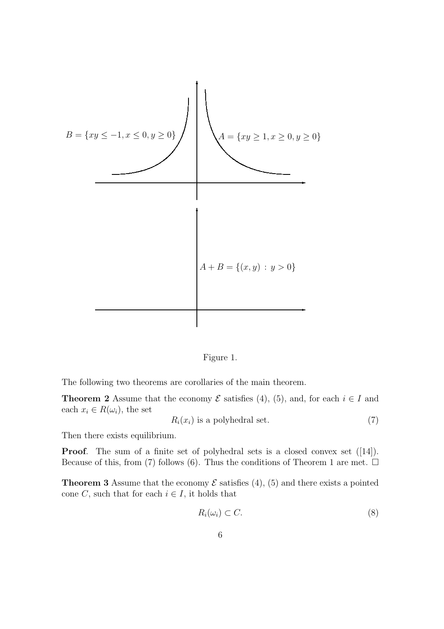

Figure 1.

The following two theorems are corollaries of the main theorem.

**Theorem 2** Assume that the economy  $\mathcal E$  satisfies (4), (5), and, for each  $i \in I$  and each  $x_i \in R(\omega_i)$ , the set

$$
R_i(x_i) \text{ is a polyhedral set.} \tag{7}
$$

Then there exists equilibrium.

**Proof.** The sum of a finite set of polyhedral sets is a closed convex set ([14]). Because of this, from (7) follows (6). Thus the conditions of Theorem 1 are met.  $\Box$ 

**Theorem 3** Assume that the economy  $\mathcal{E}$  satisfies (4), (5) and there exists a pointed cone C, such that for each  $i \in I$ , it holds that

$$
R_i(\omega_i) \subset C. \tag{8}
$$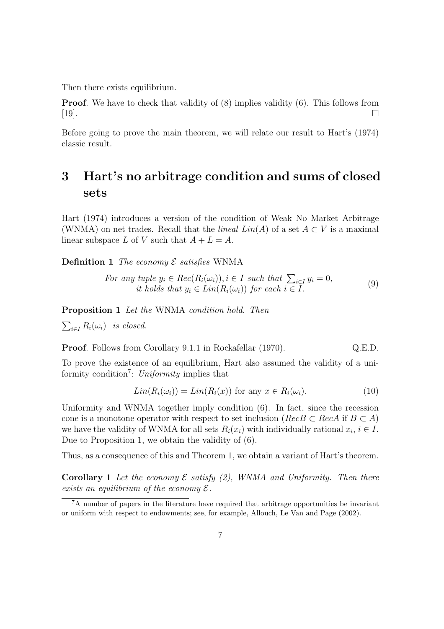Then there exists equilibrium.

**Proof.** We have to check that validity of  $(8)$  implies validity  $(6)$ . This follows from [19].

Before going to prove the main theorem, we will relate our result to Hart's (1974) classic result.

# 3 Hart's no arbitrage condition and sums of closed sets

Hart (1974) introduces a version of the condition of Weak No Market Arbitrage (WNMA) on net trades. Recall that the *lineal Lin(A)* of a set  $A \subset V$  is a maximal linear subspace L of V such that  $A + L = A$ .

**Definition 1** The economy  $\mathcal E$  satisfies WNMA

For any tuple 
$$
y_i \in Rec(R_i(\omega_i)), i \in I
$$
 such that  $\sum_{i \in I} y_i = 0$ ,  
it holds that  $y_i \in Lin(R_i(\omega_i))$  for each  $i \in I$ . (9)

Proposition 1 Let the WNMA condition hold. Then

 $\sum_{i\in I} R_i(\omega_i)$  is closed.

**Proof.** Follows from Corollary 9.1.1 in Rockafellar (1970).  $Q.E.D.$ 

To prove the existence of an equilibrium, Hart also assumed the validity of a uniformity condition<sup>7</sup>: Uniformity implies that

$$
Lin(R_i(\omega_i)) = Lin(R_i(x)) \text{ for any } x \in R_i(\omega_i). \tag{10}
$$

Uniformity and WNMA together imply condition (6). In fact, since the recession cone is a monotone operator with respect to set inclusion ( $RecB \subset RecA$  if  $B \subset A$ ) we have the validity of WNMA for all sets  $R_i(x_i)$  with individually rational  $x_i, i \in I$ . Due to Proposition 1, we obtain the validity of (6).

Thus, as a consequence of this and Theorem 1, we obtain a variant of Hart's theorem.

**Corollary 1** Let the economy  $\mathcal{E}$  satisfy (2), WNMA and Uniformity. Then there exists an equilibrium of the economy  $\mathcal{E}$ .

<sup>7</sup>A number of papers in the literature have required that arbitrage opportunities be invariant or uniform with respect to endowments; see, for example, Allouch, Le Van and Page (2002).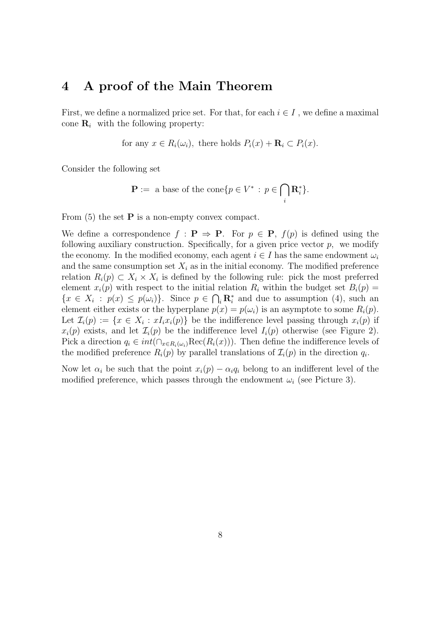#### 4 A proof of the Main Theorem

First, we define a normalized price set. For that, for each  $i \in I$ , we define a maximal cone  $\mathbf{R}_i$  with the following property:

for any  $x \in R_i(\omega_i)$ , there holds  $P_i(x) + \mathbf{R}_i \subset P_i(x)$ .

Consider the following set

$$
\mathbf{P} := \text{ a base of the cone} \{ p \in V^* \, : \, p \in \bigcap_i \mathbf{R}_i^* \}.
$$

From  $(5)$  the set **P** is a non-empty convex compact.

We define a correspondence  $f : \mathbf{P} \Rightarrow \mathbf{P}$ . For  $p \in \mathbf{P}$ ,  $f(p)$  is defined using the following auxiliary construction. Specifically, for a given price vector  $p$ , we modify the economy. In the modified economy, each agent  $i \in I$  has the same endowment  $\omega_i$ and the same consumption set  $X_i$  as in the initial economy. The modified preference relation  $R_i(p) \subset X_i \times X_i$  is defined by the following rule: pick the most preferred element  $x_i(p)$  with respect to the initial relation  $R_i$  within the budget set  $B_i(p)$  =  $\{x \in X_i : p(x) \leq p(\omega_i)\}\$ . Since  $p \in \bigcap_i \mathbf{R}_i^*$  and due to assumption (4), such an element either exists or the hyperplane  $p(x) = p(\omega_i)$  is an asymptote to some  $R_i(p)$ . Let  $\mathcal{I}_i(p) := \{x \in X_i : xI_i x_i(p)\}\$  be the indifference level passing through  $x_i(p)$  if  $x_i(p)$  exists, and let  $\mathcal{I}_i(p)$  be the indifference level  $I_i(p)$  otherwise (see Figure 2). Pick a direction  $q_i \in int(\bigcap_{x \in R_i(\omega_i)} \text{Rec}(R_i(x)))$ . Then define the indifference levels of the modified preference  $R_i(p)$  by parallel translations of  $\mathcal{I}_i(p)$  in the direction  $q_i$ .

Now let  $\alpha_i$  be such that the point  $x_i(p) - \alpha_i q_i$  belong to an indifferent level of the modified preference, which passes through the endowment  $\omega_i$  (see Picture 3).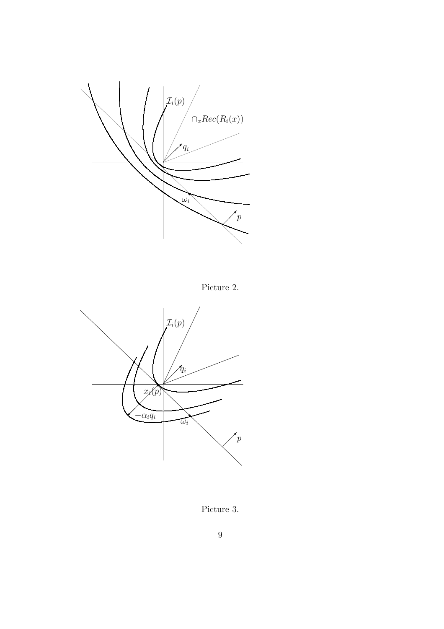

Picture 2.



Picture  $3.$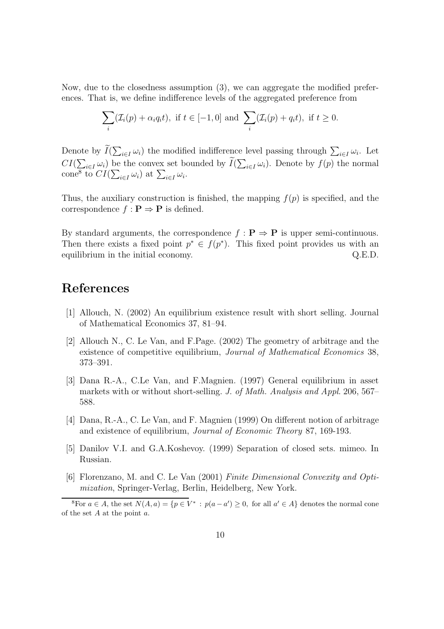Now, due to the closedness assumption (3), we can aggregate the modified preferences. That is, we define indifference levels of the aggregated preference from

$$
\sum_{i} (\mathcal{I}_i(p) + \alpha_i q_i t), \text{ if } t \in [-1, 0] \text{ and } \sum_{i} (\mathcal{I}_i(p) + q_i t), \text{ if } t \ge 0.
$$

Denote by  $\widetilde{I}(\sum_{i\in I}\omega_i)$  the modified indifference level passing through  $\sum_{i\in I}\omega_i$ . Let  $CI(\sum_{i\in I}\omega_i)$  be the convex set bounded by  $\widetilde{I}(\sum_{i\in I}\omega_i)$ . Denote by  $f(p)$  the normal cone<sup>8</sup> to  $CI(\sum_{i\in I}\omega_i)$  at  $\sum_{i\in I}\omega_i$ .

Thus, the auxiliary construction is finished, the mapping  $f(p)$  is specified, and the correspondence  $f : \mathbf{P} \Rightarrow \mathbf{P}$  is defined.

By standard arguments, the correspondence  $f : \mathbf{P} \Rightarrow \mathbf{P}$  is upper semi-continuous. Then there exists a fixed point  $p^* \in f(p^*)$ . This fixed point provides us with an equilibrium in the initial economy.  $Q.E.D.$ 

### References

- [1] Allouch, N. (2002) An equilibrium existence result with short selling. Journal of Mathematical Economics 37, 81–94.
- [2] Allouch N., C. Le Van, and F.Page. (2002) The geometry of arbitrage and the existence of competitive equilibrium, *Journal of Mathematical Economics* 38, 373–391.
- [3] Dana R.-A., C.Le Van, and F.Magnien. (1997) General equilibrium in asset markets with or without short-selling. J. of Math. Analysis and Appl. 206, 567– 588.
- [4] Dana, R.-A., C. Le Van, and F. Magnien (1999) On different notion of arbitrage and existence of equilibrium, Journal of Economic Theory 87, 169-193.
- [5] Danilov V.I. and G.A.Koshevoy. (1999) Separation of closed sets. mimeo. In Russian.
- [6] Florenzano, M. and C. Le Van (2001) Finite Dimensional Convexity and Optimization, Springer-Verlag, Berlin, Heidelberg, New York.

<sup>&</sup>lt;sup>8</sup>For  $a \in A$ , the set  $N(A, a) = \{p \in V^* : p(a - a') \ge 0$ , for all  $a' \in A\}$  denotes the normal cone of the set  $A$  at the point  $a$ .